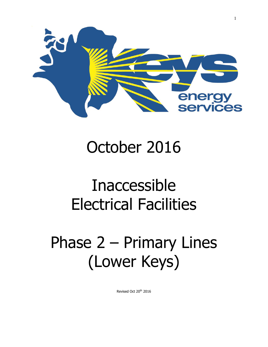

## October 2016

# Inaccessible Electrical Facilities

# Phase 2 – Primary Lines (Lower Keys)

Revised Oct 20<sup>th</sup> 2016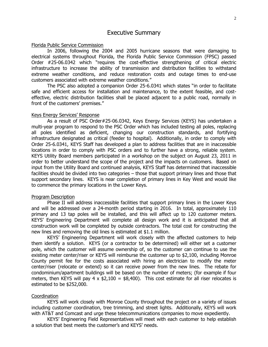### Florida Public Service Commission

In 2006, following the 2004 and 2005 hurricane seasons that were damaging to electrical systems throughout Florida, the Florida Public Service Commission (FPSC) passed Order #25-06.0342 which "requires the cost-effective strengthening of critical electric infrastructure to increase the ability of transmission and distribution facilities to withstand extreme weather conditions, and reduce restoration costs and outage times to end-use customers associated with extreme weather conditions."

The PSC also adopted a companion Order 25-6.0341 which states "in order to facilitate safe and efficient access for installation and maintenance, to the extent feasible, and costeffective, electric distribution facilities shall be placed adjacent to a public road, normally in front of the customers' premises."

### Keys Energy Services' Response

As a result of PSC Order#25-06.0342, Keys Energy Services (KEYS) has undertaken a multi-year program to respond to the PSC Order which has included testing all poles, replacing all poles identified as deficient, changing our construction standards, and fortifying infrastructure designated as critical (feeder to hospital). Additionally, in order to comply with Order 25-6.0341, KEYS Staff has developed a plan to address facilities that are in inaccessible locations in order to comply with PSC orders and to further have a strong, reliable system. KEYS Utility Board members participated in a workshop on the subject on August 23, 2011 in order to better understand the scope of the project and the impacts on customers. Based on input from the Utility Board and continued analysis, KEYS Staff has determined that inaccessible facilities should be divided into two categories – those that support primary lines and those that support secondary lines. KEYS is near completion of primary lines in Key West and would like to commence the primary locations in the Lower Keys.

## Program Description

Phase II will address inaccessible facilities that support primary lines in the Lower Keys and will be addressed over a 24-month period starting in 2016. In total, approximately 110 primary and 13 tap poles will be installed, and this will affect up to 120 customer meters. KEYS' Engineering Department will complete all design work and it is anticipated that all construction work will be completed by outside contractors. The total cost for constructing the new lines and removing the old lines is estimated at \$1.1 million.

KEYS' Engineering Department will work closely with the affected customers to help them identify a solution. KEYS (or a contractor to be determined) will either set a customer pole, which the customer will assume ownership of, so the customer can continue to use the existing meter center/riser or KEYS will reimburse the customer up to \$2,100, including Monroe County permit fee for the costs associated with hiring an electrician to modify the meter center/riser (relocate or extend) so it can receive power from the new lines. The rebate for condominium/apartment buildings will be based on the number of meters; (for example if four meters, then KEYS will pay 4 x  $$2,100 = $8,400$ ). This cost estimate for all riser relocates is estimated to be \$252,000.

## Coordination

KEYS will work closely with Monroe County throughout the project on a variety of issues including customer coordination, tree trimming, and street lights. Additionally, KEYS will work with AT&T and Comcast and urge these telecommunications companies to move expediently.

KEYS' Engineering Field Representatives will meet with each customer to help establish a solution that best meets the customer's and KEYS' needs.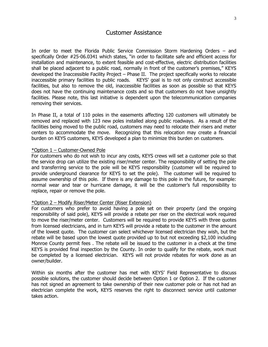## Customer Assistance

In order to meet the Florida Public Service Commission Storm Hardening Orders – and specifically Order #25-06.0341 which states, "in order to facilitate safe and efficient access for installation and maintenance, to extent feasible and cost-effective, electric distribution facilities shall be placed adjacent to a public road, normally in front of the customer's premises," KEYS developed the Inaccessible Facility Project – Phase II. The project specifically works to relocate inaccessible primary facilities to public roads. KEYS' goal is to not only construct accessible facilities, but also to remove the old, inaccessible facilities as soon as possible so that KEYS does not have the continuing maintenance costs and so that customers do not have unsightly facilities. Please note, this last initiative is dependent upon the telecommunication companies removing their services.

In Phase II, a total of 110 poles in the easements affecting 120 customers will ultimately be removed and replaced with 123 new poles installed along public roadways. As a result of the facilities being moved to the public road, customers may need to relocate their risers and meter centers to accommodate the move. Recognizing that this relocation may create a financial burden on KEYS customers, KEYS developed a plan to minimize this burden on customers.

## \*Option 1 – Customer-Owned Pole

For customers who do not wish to incur any costs, KEYS crews will set a customer pole so that the service drop can utilize the existing riser/meter center. The responsibility of setting the pole and transferring service to the pole will be KEYS responsibility (customer will be required to provide underground clearance for KEYS to set the pole). The customer will be required to assume ownership of this pole. If there is any damage to this pole in the future, for example: normal wear and tear or hurricane damage, it will be the customer's full responsibility to replace, repair or remove the pole.

## \*Option 2 – Modify Riser/Meter Center (Riser Extension)

For customers who prefer to avoid having a pole set on their property (and the ongoing responsibility of said pole), KEYS will provide a rebate per riser on the electrical work required to move the riser/meter center. Customers will be required to provide KEYS with three quotes from licensed electricians, and in turn KEYS will provide a rebate to the customer in the amount of the lowest quote. The customer can select whichever licensed electrician they wish, but the rebate will be based upon the lowest quote provided up to but not exceeding \$2,100 including Monroe County permit fees . The rebate will be issued to the customer in a check at the time KEYS is provided final inspection by the County. In order to qualify for the rebate, work must be completed by a licensed electrician. KEYS will not provide rebates for work done as an owner/builder.

Within six months after the customer has met with KEYS' Field Representative to discuss possible solutions, the customer should decide between Option 1 or Option 2. If the customer has not signed an agreement to take ownership of their new customer pole or has not had an electrician complete the work, KEYS reserves the right to disconnect service until customer takes action.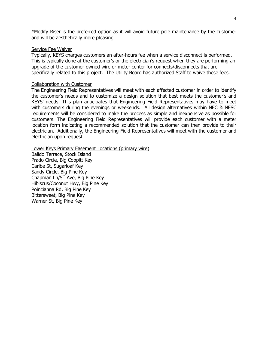\*Modify Riser is the preferred option as it will avoid future pole maintenance by the customer and will be aesthetically more pleasing.

## Service Fee Waiver

Typically, KEYS charges customers an after-hours fee when a service disconnect is performed. This is typically done at the customer's or the electrician's request when they are performing an upgrade of the customer-owned wire or meter center for connects/disconnects that are specifically related to this project. The Utility Board has authorized Staff to waive these fees.

## Collaboration with Customer

The Engineering Field Representatives will meet with each affected customer in order to identify the customer's needs and to customize a design solution that best meets the customer's and KEYS' needs. This plan anticipates that Engineering Field Representatives may have to meet with customers during the evenings or weekends. All design alternatives within NEC & NESC requirements will be considered to make the process as simple and inexpensive as possible for customers. The Engineering Field Representatives will provide each customer with a meter location form indicating a recommended solution that the customer can then provide to their electrician. Additionally, the Engineering Field Representatives will meet with the customer and electrician upon request.

Lower Keys Primary Easement Locations (primary wire)

Balido Terrace, Stock Island Prado Circle, Big Coppitt Key Caribe St, Sugarloaf Key Sandy Circle, Big Pine Key Chapman Ln/5<sup>th</sup> Ave, Big Pine Key Hibiscus/Coconut Hwy, Big Pine Key Poincianna Rd, Big Pine Key Bittersweet, Big Pine Key Warner St, Big Pine Key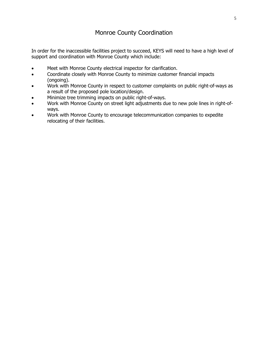## Monroe County Coordination

In order for the inaccessible facilities project to succeed, KEYS will need to have a high level of support and coordination with Monroe County which include:

- Meet with Monroe County electrical inspector for clarification.
- Coordinate closely with Monroe County to minimize customer financial impacts (ongoing).
- Work with Monroe County in respect to customer complaints on public right-of-ways as a result of the proposed pole location/design.
- Minimize tree trimming impacts on public right-of-ways.
- Work with Monroe County on street light adjustments due to new pole lines in right-ofways.
- Work with Monroe County to encourage telecommunication companies to expedite relocating of their facilities.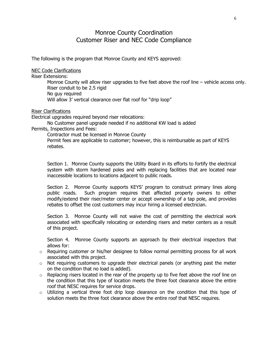## Monroe County Coordination Customer Riser and NEC Code Compliance

The following is the program that Monroe County and KEYS approved:

NEC Code Clarifications

Riser Extensions:

Monroe County will allow riser upgrades to five feet above the roof line – vehicle access only. Riser conduit to be 2.5 rigid No guy required Will allow 3' vertical clearance over flat roof for "drip loop"

Riser Clarifications

Electrical upgrades required beyond riser relocations:

No Customer panel upgrade needed if no additional KW load is added Permits, Inspections and Fees:

Contractor must be licensed in Monroe County

Permit fees are applicable to customer; however, this is reimbursable as part of KEYS rebates.

Section 1. Monroe County supports the Utility Board in its efforts to fortify the electrical system with storm hardened poles and with replacing facilities that are located near inaccessible locations to locations adjacent to public roads.

Section 2. Monroe County supports KEYS' program to construct primary lines along public roads. Such program requires that affected property owners to either modify/extend their riser/meter center or accept ownership of a tap pole, and provides rebates to offset the cost customers may incur hiring a licensed electrician.

Section 3. Monroe County will not waive the cost of permitting the electrical work associated with specifically relocating or extending risers and meter centers as a result of this project.

Section 4. Monroe County supports an approach by their electrical inspectors that allows for:

- $\circ$  Requiring customer or his/her designee to follow normal permitting process for all work associated with this project.
- o Not requiring customers to upgrade their electrical panels (or anything past the meter on the condition that no load is added).
- o Replacing risers located in the rear of the property up to five feet above the roof line on the condition that this type of location meets the three foot clearance above the entire roof that NESC requires for service drops.
- $\circ$  Utilizing a vertical three foot drip loop clearance on the condition that this type of solution meets the three foot clearance above the entire roof that NESC requires.